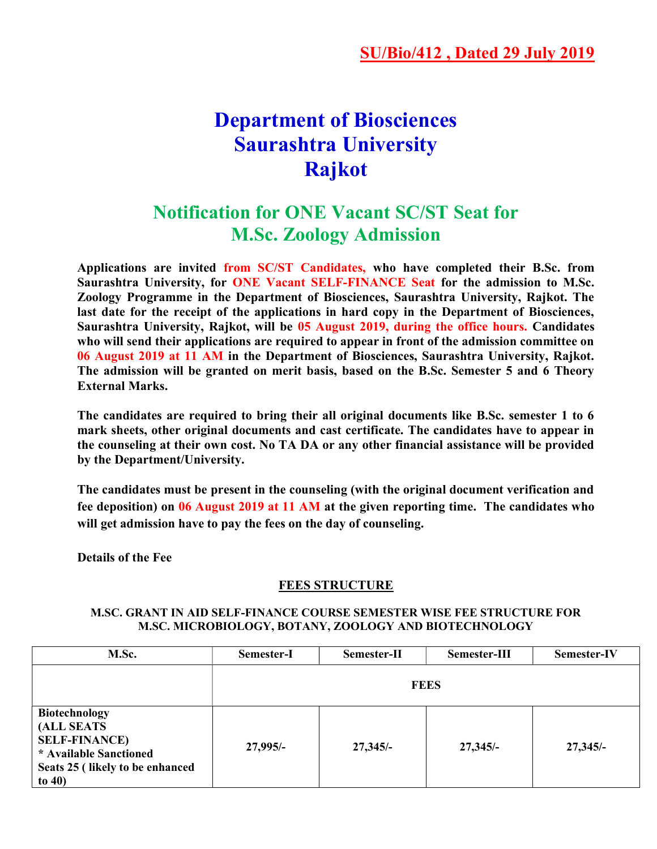## Department of Biosciences Saurashtra University Rajkot

## Notification for ONE Vacant SC/ST Seat for M.Sc. Zoology Admission

Applications are invited from SC/ST Candidates, who have completed their B.Sc. from Saurashtra University, for ONE Vacant SELF-FINANCE Seat for the admission to M.Sc. Zoology Programme in the Department of Biosciences, Saurashtra University, Rajkot. The last date for the receipt of the applications in hard copy in the Department of Biosciences, Saurashtra University, Rajkot, will be 05 August 2019, during the office hours. Candidates who will send their applications are required to appear in front of the admission committee on 06 August 2019 at 11 AM in the Department of Biosciences, Saurashtra University, Rajkot. The admission will be granted on merit basis, based on the B.Sc. Semester 5 and 6 Theory External Marks.

The candidates are required to bring their all original documents like B.Sc. semester 1 to 6 mark sheets, other original documents and cast certificate. The candidates have to appear in the counseling at their own cost. No TA DA or any other financial assistance will be provided by the Department/University.

The candidates must be present in the counseling (with the original document verification and fee deposition) on 06 August 2019 at 11 AM at the given reporting time. The candidates who will get admission have to pay the fees on the day of counseling.

Details of the Fee

## FEES STRUCTURE

## M.SC. GRANT IN AID SELF-FINANCE COURSE SEMESTER WISE FEE STRUCTURE FOR M.SC. MICROBIOLOGY, BOTANY, ZOOLOGY AND BIOTECHNOLOGY

| M.Sc.                                                                                                                                | Semester-I  | Semester-II | Semester-III | <b>Semester-IV</b> |  |
|--------------------------------------------------------------------------------------------------------------------------------------|-------------|-------------|--------------|--------------------|--|
|                                                                                                                                      | <b>FEES</b> |             |              |                    |  |
| <b>Biotechnology</b><br>(ALL SEATS<br><b>SELF-FINANCE)</b><br>* Available Sanctioned<br>Seats 25 (likely to be enhanced<br>to $40$ ) | $27,995/-$  | $27,345/-$  | $27,345/-$   | $27,345/-$         |  |